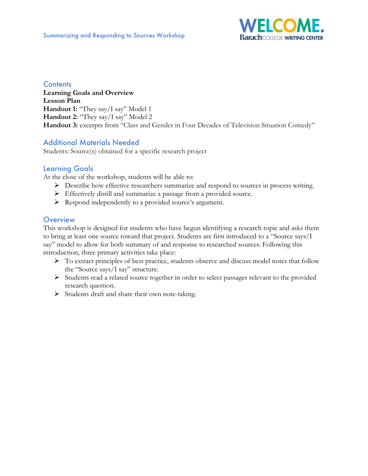

### **Contents**

**Learning Goals and Overview Lesson Plan** Handout 1: "They say/I say" Model 1 **Handout 2:** "They say/I say" Model 2 Handout 3: excerpts from "Class and Gender in Four Decades of Television Situation Comedy"

# Additional Materials Needed

Students: Source(s) obtained for a specific research project

# Learning Goals

At the close of the workshop, students will be able to:

- Ø Describe how effective researchers summarize and respond to sources in process writing.
- Ø Effectively distill and summarize a passage from a provided source.
- Ø Respond independently to a provided source's argument.

### **Overview**

This workshop is designed for students who have begun identifying a research topic and asks them to bring at least one source toward that project. Students are first introduced to a "Source says/I say" model to allow for both summary of and response to researched sources. Following this introduction, three primary activities take place:

- $\triangleright$  To extract principles of best practice, students observe and discuss model notes that follow the "Source says/I say" structure.
- Ø Students read a related source together in order to select passages relevant to the provided research question.
- $\triangleright$  Students draft and share their own note-taking.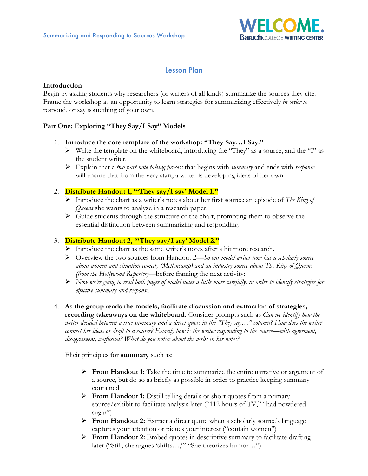

# Lesson Plan

#### **Introduction**

Begin by asking students why researchers (or writers of all kinds) summarize the sources they cite. Frame the workshop as an opportunity to learn strategies for summarizing effectively *in order to* respond, or say something of your own.

#### **Part One: Exploring "They Say/I Say" Models**

#### 1. **Introduce the core template of the workshop: "They Say…I Say."**

- Ø Write the template on the whiteboard, introducing the "They" as a source, and the "I" as the student writer.
- Ø Explain that a *two-part note-taking process* that begins with *summary* and ends with *response* will ensure that from the very start, a writer is developing ideas of her own.

# 2. **Distribute Handout 1, "'They say/I say' Model 1."**

- Ø Introduce the chart as a writer's notes about her first source: an episode of *The King of Queens* she wants to analyze in a research paper.
- $\triangleright$  Guide students through the structure of the chart, prompting them to observe the essential distinction between summarizing and responding.

#### 3. **Distribute Handout 2, "'They say/I say' Model 2."**

- Ø Introduce the chart as the same writer's notes after a bit more research.
- Ø Overview the two sources from Handout 2—*So our model writer now has a scholarly source about women and situation comedy (Mellencamp) and an industry source about The King of Queens (from the Hollywood Reporter)—*before framing the next activity:
- Ø *Now we're going to read both pages of model notes a little more carefully, in order to identify strategies for effective summary and response.*

#### 4. **As the group reads the models, facilitate discussion and extraction of strategies, recording takeaways on the whiteboard.** Consider prompts such as *Can we identify how the writer decided between a true summary and a direct quote in the "They say…" column? How does the writer connect her ideas or draft to a source? Exactly how is the writer responding to the source—with agreement, disagreement, confusion? What do you notice about the verbs in her notes?*

Elicit principles for **summary** such as:

- Ø **From Handout 1:** Take the time to summarize the entire narrative or argument of a source, but do so as briefly as possible in order to practice keeping summary contained
- Ø **From Handout 1:** Distill telling details or short quotes from a primary source/exhibit to facilitate analysis later ("112 hours of TV," "had powdered sugar")
- Ø **From Handout 2:** Extract a direct quote when a scholarly source's language captures your attention or piques your interest ("contain women")
- Ø **From Handout 2:** Embed quotes in descriptive summary to facilitate drafting later ("Still, she argues 'shifts…,'" "She theorizes humor…")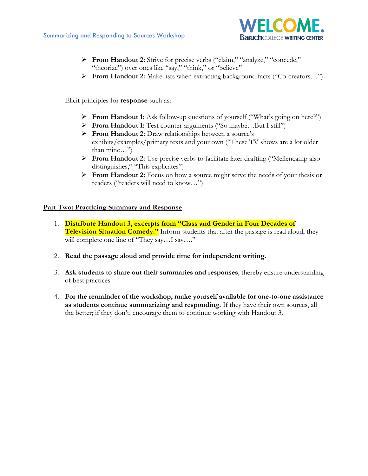

- Ø **From Handout 2:** Strive for precise verbs ("claim," "analyze," "concede," "theorize") over ones like "say," "think," or "believe"
- Ø **From Handout 2:** Make lists when extracting background facts ("Co-creators…")

Elicit principles for **response** such as:

- Ø **From Handout 1:** Ask follow-up questions of yourself ("What's going on here?")
- Ø **From Handout 1:** Test counter-arguments ("So maybe…But I still")
- Ø **From Handout 2:** Draw relationships between a source's exhibits/examples/primary texts and your own ("These TV shows are a lot older than mine…")
- Ø **From Handout 2:** Use precise verbs to facilitate later drafting ("Mellencamp also distinguishes," "This explicates")
- Ø **From Handout 2:** Focus on how a source might serve the needs of your thesis or readers ("readers will need to know…")

#### **Part Two: Practicing Summary and Response**

- 1. **Distribute Handout 3, excerpts from "Class and Gender in Four Decades of Television Situation Comedy."** Inform students that after the passage is read aloud, they will complete one line of "They say....I say...."
- 2. **Read the passage aloud and provide time for independent writing.**
- 3. **Ask students to share out their summaries and responses**; thereby ensure understanding of best practices.
- 4. **For the remainder of the workshop, make yourself available for one-to-one assistance as students continue summarizing and responding.** If they have their own sources, all the better; if they don't, encourage them to continue working with Handout 3.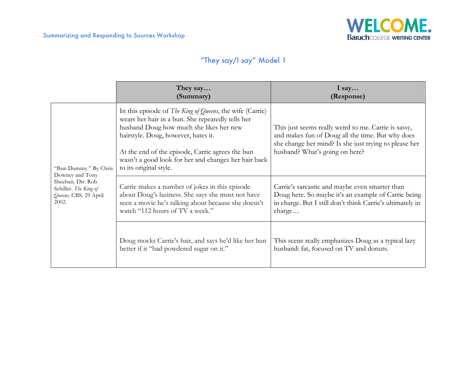

# "They say/I say" Model 1

|                                                                                                                          | They say<br>(Summary)                                                                                                                                                                                                                                                                                                                 | I say<br>(Response)                                                                                                                                                                                 |
|--------------------------------------------------------------------------------------------------------------------------|---------------------------------------------------------------------------------------------------------------------------------------------------------------------------------------------------------------------------------------------------------------------------------------------------------------------------------------|-----------------------------------------------------------------------------------------------------------------------------------------------------------------------------------------------------|
| "Bun Dummy." By Chris<br>Downey and Tony<br>Sheehan. Dir. Rob<br>Schiller. The King of<br>Queens. CBS. 29 April<br>2002. | In this episode of The King of Queens, the wife (Carrie)<br>wears her hair in a bun. She repeatedly tells her<br>husband Doug how much she likes her new<br>hairstyle. Doug, however, hates it.<br>At the end of the episode, Carrie agrees the bun<br>wasn't a good look for her and changes her hair back<br>to its original style. | This just seems really weird to me. Carrie is sassy,<br>and makes fun of Doug all the time. But why does<br>she change her mind? Is she just trying to please her<br>husband? What's going on here? |
|                                                                                                                          | Carrie makes a number of jokes in this episode<br>about Doug's laziness. She says she must not have<br>seen a movie he's talking about because she doesn't<br>watch "112 hours of TV a week."                                                                                                                                         | Carrie's sarcastic and maybe even smarter than<br>Doug here. So maybe it's an example of Carrie being<br>in charge. But I still don't think Carrie's ultimately in<br>charge                        |
|                                                                                                                          | Doug mocks Carrie's hair, and says he'd like her bun<br>better if it "had powdered sugar on it."                                                                                                                                                                                                                                      | This scene really emphasizes Doug as a typical lazy<br>husband: fat, focused on TV and donuts.                                                                                                      |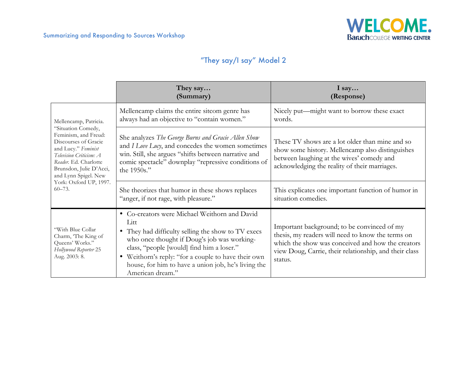

# "They say/I say" Model 2

|                                                                                                                                                                                                                                                                   | They say<br>(Summary)                                                                                                                                                                                                                                                                                                                     | I say<br>(Response)                                                                                                                                                                                                        |
|-------------------------------------------------------------------------------------------------------------------------------------------------------------------------------------------------------------------------------------------------------------------|-------------------------------------------------------------------------------------------------------------------------------------------------------------------------------------------------------------------------------------------------------------------------------------------------------------------------------------------|----------------------------------------------------------------------------------------------------------------------------------------------------------------------------------------------------------------------------|
| Mellencamp, Patricia.<br>"Situation Comedy,<br>Feminism, and Freud:<br>Discourses of Gracie<br>and Lucy." Feminist<br>Television Criticism: A<br>Reader, Ed. Charlotte<br>Brunsdon, Julie D'Acci,<br>and Lynn Spigel. New<br>York: Oxford UP, 1997.<br>$60 - 73.$ | Mellencamp claims the entire sitcom genre has<br>always had an objective to "contain women."                                                                                                                                                                                                                                              | Nicely put—might want to borrow these exact<br>words.                                                                                                                                                                      |
|                                                                                                                                                                                                                                                                   | She analyzes The George Burns and Gracie Allen Show<br>and I Love Lucy, and concedes the women sometimes<br>win. Still, she argues "shifts between narrative and<br>comic spectacle" downplay "repressive conditions of<br>the 1950s."                                                                                                    | These TV shows are a lot older than mine and so<br>show some history. Mellencamp also distinguishes<br>between laughing at the wives' comedy and<br>acknowledging the reality of their marriages.                          |
|                                                                                                                                                                                                                                                                   | She theorizes that humor in these shows replaces<br>"anger, if not rage, with pleasure."                                                                                                                                                                                                                                                  | This explicates one important function of humor in<br>situation comedies.                                                                                                                                                  |
| "With Blue Collar<br>Charm, 'The King of<br>Queens' Works."<br>Hollywood Reporter 25<br>Aug. 2003: 8.                                                                                                                                                             | • Co-creators were Michael Weithorn and David<br>Litt<br>• They had difficulty selling the show to TV execs<br>who once thought if Doug's job was working-<br>class, "people [would] find him a loser."<br>• Weithorn's reply: "for a couple to have their own<br>house, for him to have a union job, he's living the<br>American dream." | Important background; to be convinced of my<br>thesis, my readers will need to know the terms on<br>which the show was conceived and how the creators<br>view Doug, Carrie, their relationship, and their class<br>status. |